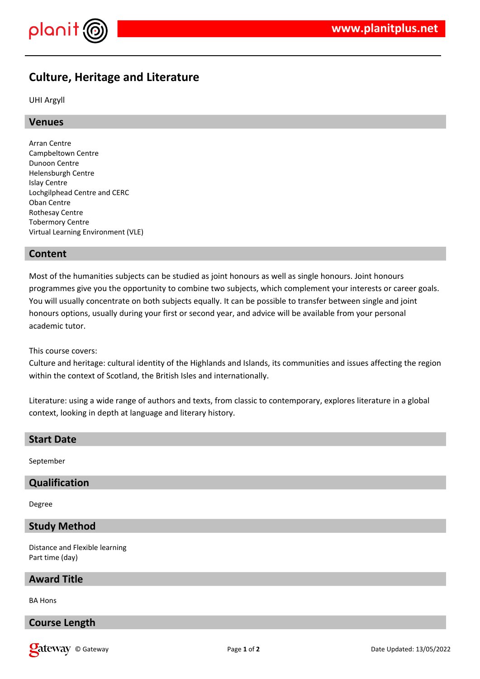

# **Culture, Heritage and Literature**

UHI Argyll

# **Venues**

Arran Centre Campbeltown Centre Dunoon Centre Helensburgh Centre Islay Centre Lochgilphead Centre and CERC Oban Centre Rothesay Centre Tobermory Centre Virtual Learning Environment (VLE)

# **Content**

Most of the humanities subjects can be studied as joint honours as well as single honours. Joint honours programmes give you the opportunity to combine two subjects, which complement your interests or career goals. You will usually concentrate on both subjects equally. It can be possible to transfer between single and joint honours options, usually during your first or second year, and advice will be available from your personal academic tutor.

This course covers:

Culture and heritage: cultural identity of the Highlands and Islands, its communities and issues affecting the region within the context of Scotland, the British Isles and internationally.

Literature: using a wide range of authors and texts, from classic to contemporary, explores literature in a global context, looking in depth at language and literary history.

### **Start Date**

September

# **Qualification**

Degree

# **Study Method**

Distance and Flexible learning Part time (day)

#### **Award Title**

BA Hons

# **Course Length**

**Call EXECURI** Construction of the Updated: 13/05/2022 **Page 1** of **2 Date Updated: 13/05/2022**